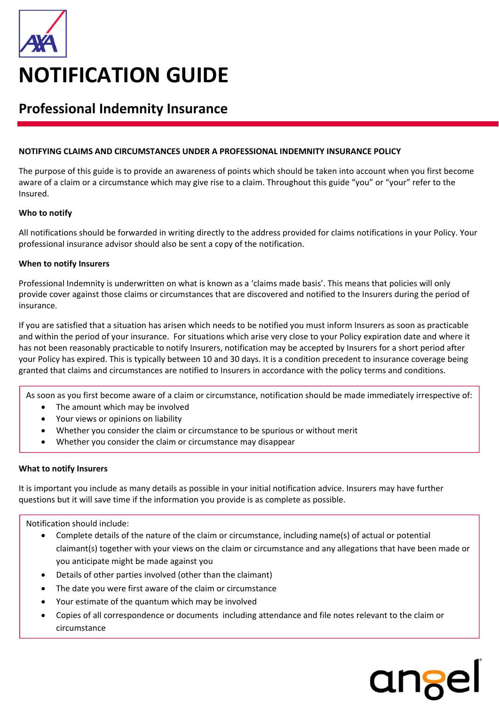

# **Professional Indemnity Insurance**

## **NOTIFYING CLAIMS AND CIRCUMSTANCES UNDER A PROFESSIONAL INDEMNITY INSURANCE POLICY**

The purpose of this guide is to provide an awareness of points which should be taken into account when you first become aware of a claim or a circumstance which may give rise to a claim. Throughout this guide "you" or "your" refer to the Insured.

## **Who to notify**

All notifications should be forwarded in writing directly to the address provided for claims notifications in your Policy. Your professional insurance advisor should also be sent a copy of the notification.

## **When to notify Insurers**

Professional Indemnity is underwritten on what is known as a 'claims made basis'. This means that policies will only provide cover against those claims or circumstances that are discovered and notified to the Insurers during the period of insurance.

If you are satisfied that a situation has arisen which needs to be notified you must inform Insurers as soon as practicable and within the period of your insurance. For situations which arise very close to your Policy expiration date and where it has not been reasonably practicable to notify Insurers, notification may be accepted by Insurers for a short period after your Policy has expired. This is typically between 10 and 30 days. It is a condition precedent to insurance coverage being granted that claims and circumstances are notified to Insurers in accordance with the policy terms and conditions.

As soon as you first become aware of a claim or circumstance, notification should be made immediately irrespective of:

- The amount which may be involved
- Your views or opinions on liability
- Whether you consider the claim or circumstance to be spurious or without merit
- Whether you consider the claim or circumstance may disappear

## **What to notify Insurers**

It is important you include as many details as possible in your initial notification advice. Insurers may have further questions but it will save time if the information you provide is as complete as possible.

Notification should include:

- Complete details of the nature of the claim or circumstance, including name(s) of actual or potential claimant(s) together with your views on the claim or circumstance and any allegations that have been made or you anticipate might be made against you
- Details of other parties involved (other than the claimant)
- The date you were first aware of the claim or circumstance
- Your estimate of the quantum which may be involved
- Copies of all correspondence or documents including attendance and file notes relevant to the claim or circumstance

ange